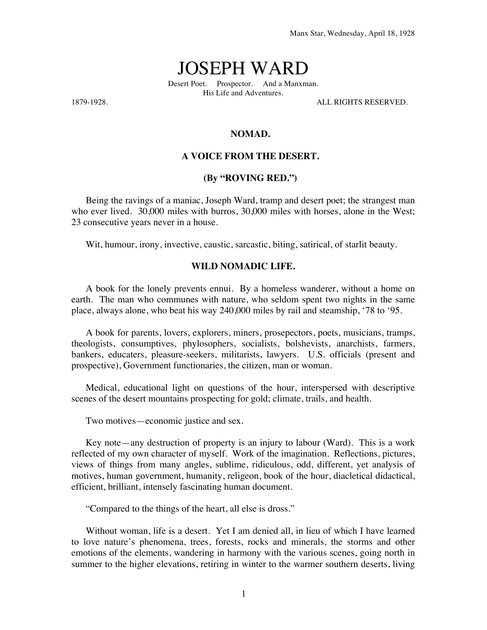# JOSEPH WARD

Desert Poet. Prospector. And a Manxman. His Life and Adventures.

1879-1928. ALL RIGHTS RESERVED.

## **NOMAD.**

## **A VOICE FROM THE DESERT.**

### **(By "ROVING RED.")**

Being the ravings of a maniac, Joseph Ward, tramp and desert poet; the strangest man who ever lived. 30,000 miles with burros, 30,000 miles with horses, alone in the West; 23 consecutive years never in a house.

Wit, humour, irony, invective, caustic, sarcastic, biting, satirical, of starlit beauty.

### **WILD NOMADIC LIFE.**

A book for the lonely prevents ennui. By a homeless wanderer, without a home on earth. The man who communes with nature, who seldom spent two nights in the same place, always alone, who beat his way 240,000 miles by rail and steamship, '78 to '95.

A book for parents, lovers, explorers, miners, prosepectors, poets, musicians, tramps, theologists, consumptives, phylosophers, socialists, bolshevists, anarchists, farmers, bankers, educaters, pleasure-seekers, militarists, lawyers. U.S. officials (present and prospective), Government functionaries, the citizen, man or woman.

Medical, educational light on questions of the hour, interspersed with descriptive scenes of the desert mountains prospecting for gold; climate, trails, and health.

Two motives—economic justice and sex.

Key note—any destruction of property is an injury to labour (Ward). This is a work reflected of my own character of myself. Work of the imagination. Reflections, pictures, views of things from many angles, sublime, ridiculous, odd, different, yet analysis of motives, human government, humanity, religeon, book of the hour, diacletical didactical, efficient, brilliant, intensely fascinating human document.

"Compared to the things of the heart, all else is dross."

Without woman, life is a desert. Yet I am denied all, in lieu of which I have learned to love nature's phenomena, trees, forests, rocks and minerals, the storms and other emotions of the elements, wandering in harmony with the various scenes, going north in summer to the higher elevations, retiring in winter to the warmer southern deserts, living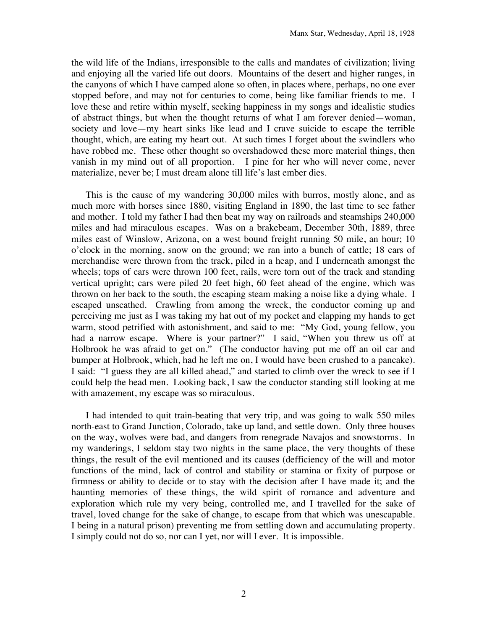the wild life of the Indians, irresponsible to the calls and mandates of civilization; living and enjoying all the varied life out doors. Mountains of the desert and higher ranges, in the canyons of which I have camped alone so often, in places where, perhaps, no one ever stopped before, and may not for centuries to come, being like familiar friends to me. I love these and retire within myself, seeking happiness in my songs and idealistic studies of abstract things, but when the thought returns of what I am forever denied—woman, society and love—my heart sinks like lead and I crave suicide to escape the terrible thought, which, are eating my heart out. At such times I forget about the swindlers who have robbed me. These other thought so overshadowed these more material things, then vanish in my mind out of all proportion. I pine for her who will never come, never materialize, never be; I must dream alone till life's last ember dies.

This is the cause of my wandering 30,000 miles with burros, mostly alone, and as much more with horses since 1880, visiting England in 1890, the last time to see father and mother. I told my father I had then beat my way on railroads and steamships 240,000 miles and had miraculous escapes. Was on a brakebeam, December 30th, 1889, three miles east of Winslow, Arizona, on a west bound freight running 50 mile, an hour; 10 o'clock in the morning, snow on the ground; we ran into a bunch of cattle; 18 cars of merchandise were thrown from the track, piled in a heap, and I underneath amongst the wheels; tops of cars were thrown 100 feet, rails, were torn out of the track and standing vertical upright; cars were piled 20 feet high, 60 feet ahead of the engine, which was thrown on her back to the south, the escaping steam making a noise like a dying whale. I escaped unscathed. Crawling from among the wreck, the conductor coming up and perceiving me just as I was taking my hat out of my pocket and clapping my hands to get warm, stood petrified with astonishment, and said to me: "My God, young fellow, you had a narrow escape. Where is your partner?" I said, "When you threw us off at Holbrook he was afraid to get on." (The conductor having put me off an oil car and bumper at Holbrook, which, had he left me on, I would have been crushed to a pancake). I said: "I guess they are all killed ahead," and started to climb over the wreck to see if I could help the head men. Looking back, I saw the conductor standing still looking at me with amazement, my escape was so miraculous.

I had intended to quit train-beating that very trip, and was going to walk 550 miles north-east to Grand Junction, Colorado, take up land, and settle down. Only three houses on the way, wolves were bad, and dangers from renegrade Navajos and snowstorms. In my wanderings, I seldom stay two nights in the same place, the very thoughts of these things, the result of the evil mentioned and its causes (defficiency of the will and motor functions of the mind, lack of control and stability or stamina or fixity of purpose or firmness or ability to decide or to stay with the decision after I have made it; and the haunting memories of these things, the wild spirit of romance and adventure and exploration which rule my very being, controlled me, and I travelled for the sake of travel, loved change for the sake of change, to escape from that which was unescapable. I being in a natural prison) preventing me from settling down and accumulating property. I simply could not do so, nor can I yet, nor will I ever. It is impossible.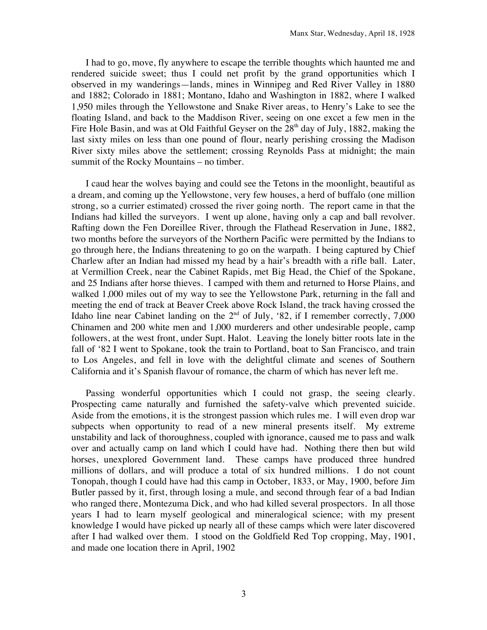I had to go, move, fly anywhere to escape the terrible thoughts which haunted me and rendered suicide sweet; thus I could net profit by the grand opportunities which I observed in my wanderings—lands, mines in Winnipeg and Red River Valley in 1880 and 1882; Colorado in 1881; Montano, Idaho and Washington in 1882, where I walked 1,950 miles through the Yellowstone and Snake River areas, to Henry's Lake to see the floating Island, and back to the Maddison River, seeing on one excet a few men in the Fire Hole Basin, and was at Old Faithful Geyser on the  $28<sup>th</sup>$  day of July, 1882, making the last sixty miles on less than one pound of flour, nearly perishing crossing the Madison River sixty miles above the settlement; crossing Reynolds Pass at midnight; the main summit of the Rocky Mountains – no timber.

I caud hear the wolves baying and could see the Tetons in the moonlight, beautiful as a dream, and coming up the Yellowstone, very few houses, a herd of buffalo (one million strong, so a currier estimated) crossed the river going north. The report came in that the Indians had killed the surveyors. I went up alone, having only a cap and ball revolver. Rafting down the Fen Doreillee River, through the Flathead Reservation in June, 1882, two months before the surveyors of the Northern Pacific were permitted by the Indians to go through here, the Indians threatening to go on the warpath. I being captured by Chief Charlew after an Indian had missed my head by a hair's breadth with a rifle ball. Later, at Vermillion Creek, near the Cabinet Rapids, met Big Head, the Chief of the Spokane, and 25 Indians after horse thieves. I camped with them and returned to Horse Plains, and walked 1,000 miles out of my way to see the Yellowstone Park, returning in the fall and meeting the end of track at Beaver Creek above Rock Island, the track having crossed the Idaho line near Cabinet landing on the  $2<sup>nd</sup>$  of July, '82, if I remember correctly, 7,000 Chinamen and 200 white men and 1,000 murderers and other undesirable people, camp followers, at the west front, under Supt. Halot. Leaving the lonely bitter roots late in the fall of '82 I went to Spokane, took the train to Portland, boat to San Francisco, and train to Los Angeles, and fell in love with the delightful climate and scenes of Southern California and it's Spanish flavour of romance, the charm of which has never left me.

Passing wonderful opportunities which I could not grasp, the seeing clearly. Prospecting came naturally and furnished the safety-valve which prevented suicide. Aside from the emotions, it is the strongest passion which rules me. I will even drop war subpects when opportunity to read of a new mineral presents itself. My extreme unstability and lack of thoroughness, coupled with ignorance, caused me to pass and walk over and actually camp on land which I could have had. Nothing there then but wild horses, unexplored Government land. These camps have produced three hundred millions of dollars, and will produce a total of six hundred millions. I do not count Tonopah, though I could have had this camp in October, 1833, or May, 1900, before Jim Butler passed by it, first, through losing a mule, and second through fear of a bad Indian who ranged there, Montezuma Dick, and who had killed several prospectors. In all those years I had to learn myself geological and mineralogical science; with my present knowledge I would have picked up nearly all of these camps which were later discovered after I had walked over them. I stood on the Goldfield Red Top cropping, May, 1901, and made one location there in April, 1902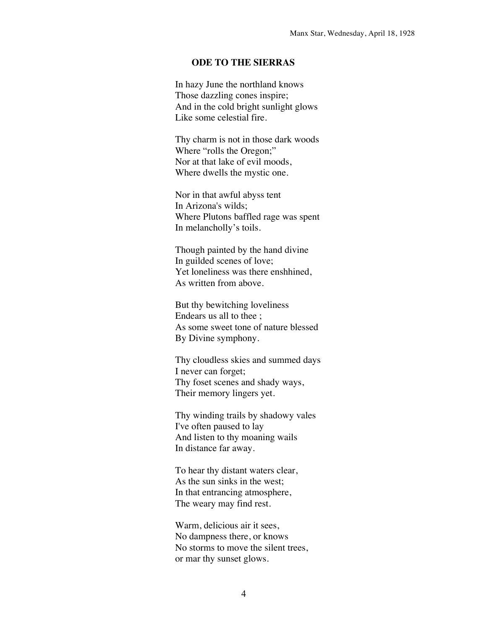# **ODE TO THE SIERRAS**

In hazy June the northland knows Those dazzling cones inspire; And in the cold bright sunlight glows Like some celestial fire.

Thy charm is not in those dark woods Where "rolls the Oregon;" Nor at that lake of evil moods, Where dwells the mystic one.

Nor in that awful abyss tent In Arizona's wilds; Where Plutons baffled rage was spent In melancholly's toils.

Though painted by the hand divine In guilded scenes of love; Yet loneliness was there enshhined, As written from above.

But thy bewitching loveliness Endears us all to thee ; As some sweet tone of nature blessed By Divine symphony.

Thy cloudless skies and summed days I never can forget; Thy foset scenes and shady ways, Their memory lingers yet.

Thy winding trails by shadowy vales I've often paused to lay And listen to thy moaning wails In distance far away.

To hear thy distant waters clear, As the sun sinks in the west; In that entrancing atmosphere, The weary may find rest.

Warm, delicious air it sees, No dampness there, or knows No storms to move the silent trees, or mar thy sunset glows.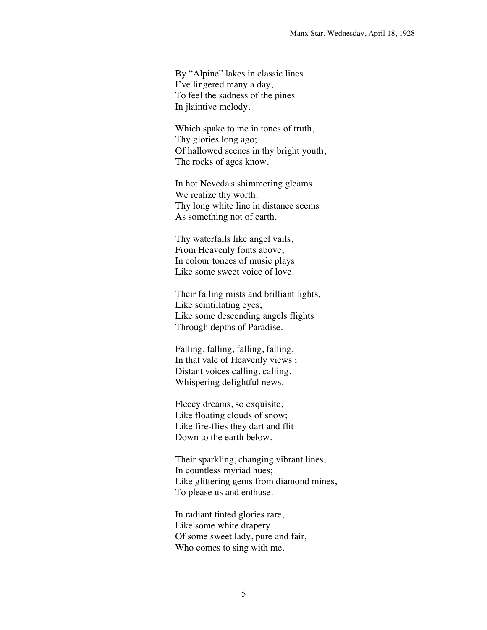By "Alpine" lakes in classic lines I've lingered many a day, To feel the sadness of the pines In jlaintive melody.

Which spake to me in tones of truth, Thy glories long ago; Of hallowed scenes in thy bright youth, The rocks of ages know.

In hot Neveda's shimmering gleams We realize thy worth. Thy long white line in distance seems As something not of earth.

Thy waterfalls like angel vails, From Heavenly fonts above, In colour tonees of music plays Like some sweet voice of love.

Their falling mists and brilliant lights, Like scintillating eyes; Like some descending angels flights Through depths of Paradise.

Falling, falling, falling, falling, In that vale of Heavenly views ; Distant voices calling, calling, Whispering delightful news.

Fleecy dreams, so exquisite, Like floating clouds of snow; Like fire-flies they dart and flit Down to the earth below.

Their sparkling, changing vibrant lines, In countless myriad hues; Like glittering gems from diamond mines, To please us and enthuse.

In radiant tinted glories rare, Like some white drapery Of some sweet lady, pure and fair, Who comes to sing with me.